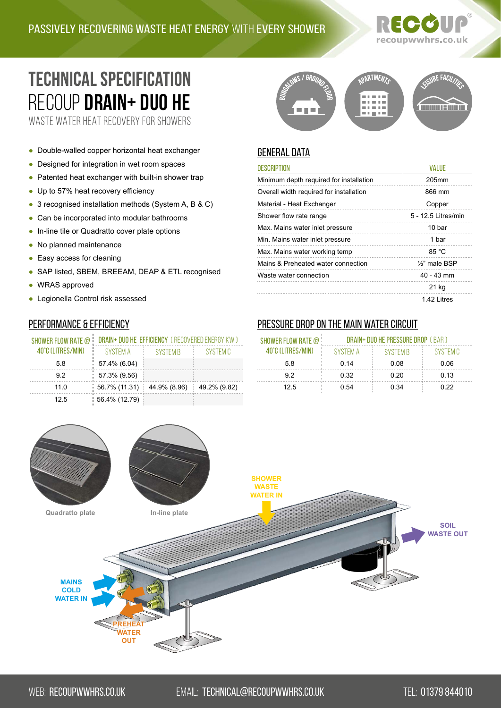# recoupwwhrs.co.uk

# **TECHNICAL SPECIFICATION** RECOUP **[Drain+ Duo he](https://recoupwwhrs.co.uk/products/drain-range/drain-duo-he/)**

WASTE WATER HEAT RECOVERY FOR SHOWERS

- Double-walled copper horizontal heat exchanger
- Designed for integration in wet room spaces
- Patented heat exchanger with built-in shower trap
- Up to 57% heat recovery efficiency
- 3 recognised installation methods (System A, B & C)
- Can be incorporated into modular bathrooms
- In-line tile or Quadratto cover plate options
- No planned maintenance
- Easy access for cleaning
- SAP listed, SBEM, BREEAM, DEAP & ETL recognised
- WRAS approved
- Legionella Control risk assessed

#### Performance & Efficiency

| DRAIN+ DUO HE EFFICIENCY (RECOVERED ENERGY KW) |                 |              |
|------------------------------------------------|-----------------|--------------|
| <b>SYSTEM A</b>                                | <b>SYSTEM B</b> | SYSTEM C     |
| $57.4\%$ (6.04)                                |                 |              |
| $\frac{1}{2}$ 57.3% (9.56)                     |                 |              |
| $56.7\%$ (11.31)                               | 44.9% (8.96)    | 49.2% (9.82) |
| $: 56.4\% (12.79)$                             |                 |              |
|                                                |                 |              |



# **GENERAL DATA**

| <b>DESCRIPTION</b>                      | VAI UF                     |
|-----------------------------------------|----------------------------|
| Minimum depth required for installation | 205mm                      |
| Overall width required for installation | 866 mm                     |
| Material - Heat Exchanger               | Copper                     |
| Shower flow rate range                  | 5 - 12.5 Litres/min        |
| Max. Mains water inlet pressure         | 10 bar                     |
| Min. Mains water inlet pressure         | 1 bar                      |
| Max. Mains water working temp           | 85 °C                      |
| Mains & Preheated water connection      | 1/ <sub>2</sub> " male BSP |
| Waste water connection                  | $40 - 43$ mm               |
|                                         | 21 kg                      |
|                                         | 142 Litres                 |

#### Pressure drop on the main water circuit

| SHOWER FLOW RATE @ | DRAIN+ DUO HE PRESSURE DROP ( BAR ) |                 |          |
|--------------------|-------------------------------------|-----------------|----------|
| 40°C (I ITRES/MIN) | SYSTEM A                            | <b>SYSTEM B</b> | SYSTEM C |
| 58                 | 0.14                                | 0.08            | 0.06     |
| 92                 | 0.32                                | 0.20            | 0.13     |
| 125                | 0.54                                | 0.34            | 0.22     |

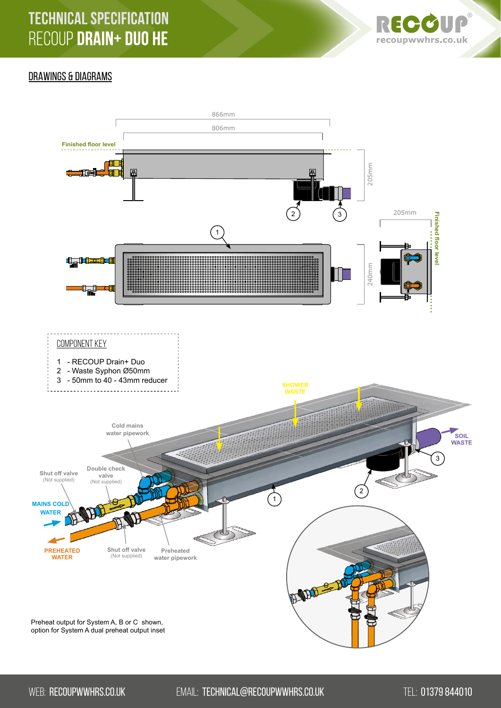

## DRAWINGS & DIAGRAMS